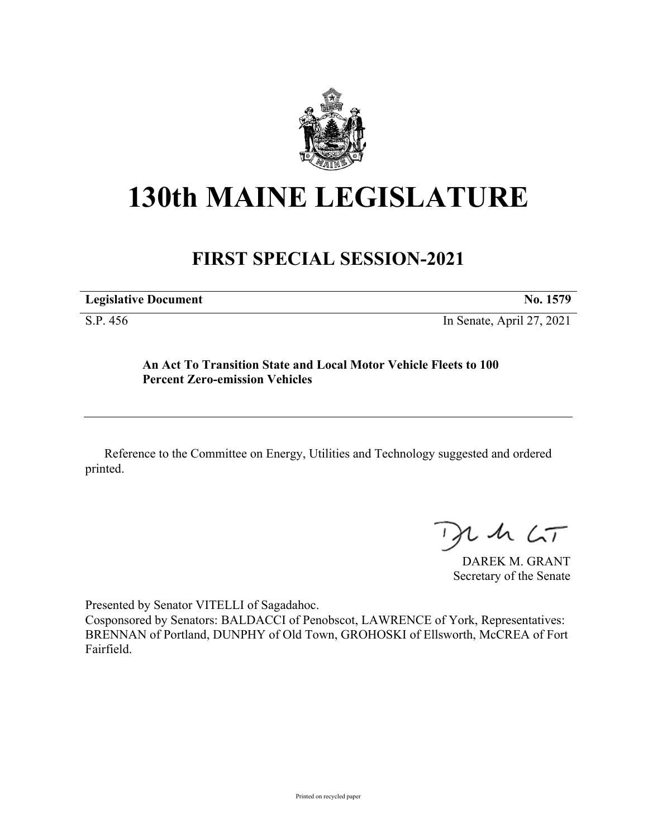

## **130th MAINE LEGISLATURE**

## **FIRST SPECIAL SESSION-2021**

| <b>Legislative Document</b> |  |  | No. 1579 |
|-----------------------------|--|--|----------|
| $\alpha$ m $\beta$          |  |  |          |

S.P. 456 In Senate, April 27, 2021

## **An Act To Transition State and Local Motor Vehicle Fleets to 100 Percent Zero-emission Vehicles**

Reference to the Committee on Energy, Utilities and Technology suggested and ordered printed.

 $125$ 

DAREK M. GRANT Secretary of the Senate

Presented by Senator VITELLI of Sagadahoc.

Cosponsored by Senators: BALDACCI of Penobscot, LAWRENCE of York, Representatives: BRENNAN of Portland, DUNPHY of Old Town, GROHOSKI of Ellsworth, McCREA of Fort Fairfield.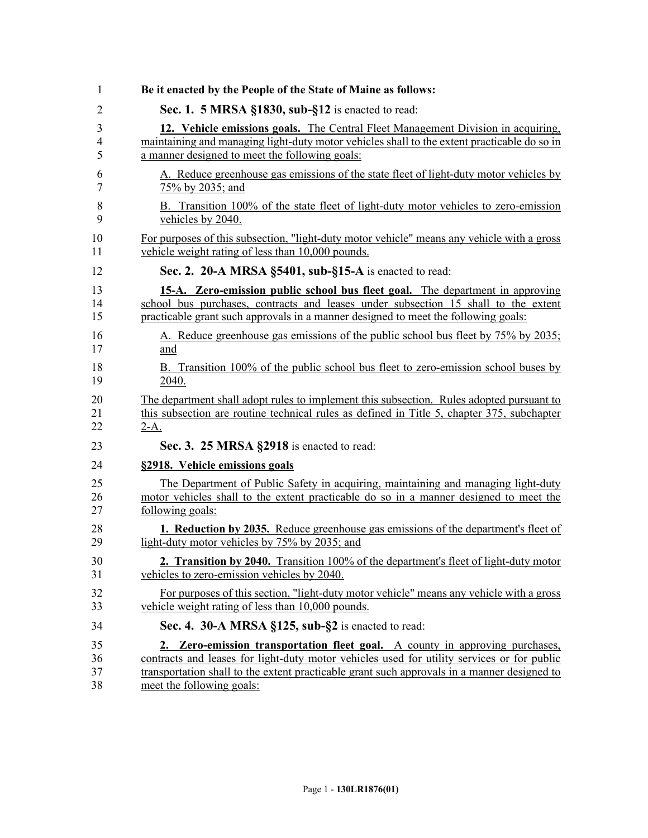| 1  | Be it enacted by the People of the State of Maine as follows:                               |
|----|---------------------------------------------------------------------------------------------|
| 2  | Sec. 1. 5 MRSA §1830, sub-§12 is enacted to read:                                           |
| 3  | 12. Vehicle emissions goals. The Central Fleet Management Division in acquiring,            |
| 4  | maintaining and managing light-duty motor vehicles shall to the extent practicable do so in |
| 5  | a manner designed to meet the following goals:                                              |
| 6  | A. Reduce greenhouse gas emissions of the state fleet of light-duty motor vehicles by       |
| 7  | 75% by 2035; and                                                                            |
| 8  | B. Transition 100% of the state fleet of light-duty motor vehicles to zero-emission         |
| 9  | vehicles by 2040.                                                                           |
| 10 | For purposes of this subsection, "light-duty motor vehicle" means any vehicle with a gross  |
| 11 | vehicle weight rating of less than 10,000 pounds.                                           |
| 12 | Sec. 2. 20-A MRSA §5401, sub-§15-A is enacted to read:                                      |
| 13 | 15-A. Zero-emission public school bus fleet goal. The department in approving               |
| 14 | school bus purchases, contracts and leases under subsection 15 shall to the extent          |
| 15 | practicable grant such approvals in a manner designed to meet the following goals:          |
| 16 | A. Reduce greenhouse gas emissions of the public school bus fleet by 75% by 2035;           |
| 17 | and                                                                                         |
| 18 | B. Transition 100% of the public school bus fleet to zero-emission school buses by          |
| 19 | 2040.                                                                                       |
| 20 | The department shall adopt rules to implement this subsection. Rules adopted pursuant to    |
| 21 | this subsection are routine technical rules as defined in Title 5, chapter 375, subchapter  |
| 22 | $2-A.$                                                                                      |
| 23 | Sec. 3. 25 MRSA §2918 is enacted to read:                                                   |
| 24 | §2918. Vehicle emissions goals                                                              |
| 25 | The Department of Public Safety in acquiring, maintaining and managing light-duty           |
| 26 | motor vehicles shall to the extent practicable do so in a manner designed to meet the       |
| 27 | following goals:                                                                            |
| 28 | <b>1. Reduction by 2035.</b> Reduce greenhouse gas emissions of the department's fleet of   |
| 29 | light-duty motor vehicles by 75% by 2035; and                                               |
| 30 | 2. Transition by 2040. Transition 100% of the department's fleet of light-duty motor        |
| 31 | vehicles to zero-emission vehicles by 2040.                                                 |
| 32 | For purposes of this section, "light-duty motor vehicle" means any vehicle with a gross     |
| 33 | vehicle weight rating of less than 10,000 pounds.                                           |
| 34 | Sec. 4. 30-A MRSA §125, sub-§2 is enacted to read:                                          |
| 35 | 2. Zero-emission transportation fleet goal. A county in approving purchases,                |
| 36 | contracts and leases for light-duty motor vehicles used for utility services or for public  |
| 37 | transportation shall to the extent practicable grant such approvals in a manner designed to |
| 38 | meet the following goals:                                                                   |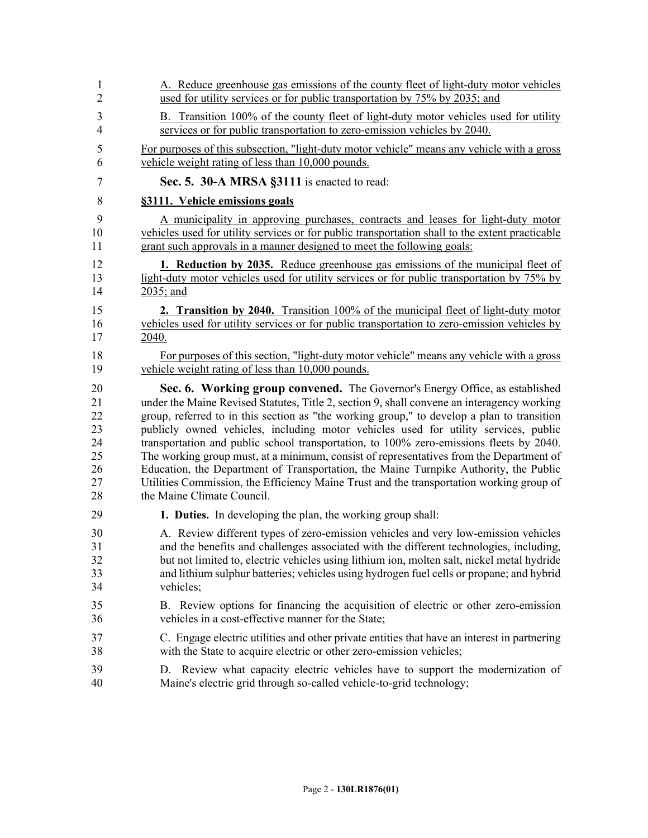| $\mathbf{1}$   | A. Reduce greenhouse gas emissions of the county fleet of light-duty motor vehicles             |
|----------------|-------------------------------------------------------------------------------------------------|
| $\overline{2}$ | used for utility services or for public transportation by 75% by 2035; and                      |
| 3              | B. Transition 100% of the county fleet of light-duty motor vehicles used for utility            |
| $\overline{4}$ | services or for public transportation to zero-emission vehicles by 2040.                        |
| 5              | For purposes of this subsection, "light-duty motor vehicle" means any vehicle with a gross      |
| 6              | vehicle weight rating of less than 10,000 pounds.                                               |
| $\tau$         | Sec. 5. 30-A MRSA §3111 is enacted to read:                                                     |
| 8              | §3111. Vehicle emissions goals                                                                  |
| 9              | A municipality in approving purchases, contracts and leases for light-duty motor                |
| 10             | vehicles used for utility services or for public transportation shall to the extent practicable |
| 11             | grant such approvals in a manner designed to meet the following goals:                          |
| 12             | <b>1. Reduction by 2035.</b> Reduce greenhouse gas emissions of the municipal fleet of          |
| 13             | light-duty motor vehicles used for utility services or for public transportation by 75% by      |
| 14             | 2035; and                                                                                       |
| 15             | 2. Transition by 2040. Transition 100% of the municipal fleet of light-duty motor               |
| 16             | vehicles used for utility services or for public transportation to zero-emission vehicles by    |
| 17             | 2040.                                                                                           |
| 18             | For purposes of this section, "light-duty motor vehicle" means any vehicle with a gross         |
| 19             | vehicle weight rating of less than 10,000 pounds.                                               |
| 20             | Sec. 6. Working group convened. The Governor's Energy Office, as established                    |
| 21             | under the Maine Revised Statutes, Title 2, section 9, shall convene an interagency working      |
| 22             | group, referred to in this section as "the working group," to develop a plan to transition      |
| 23             | publicly owned vehicles, including motor vehicles used for utility services, public             |
| 24             | transportation and public school transportation, to 100% zero-emissions fleets by 2040.         |
| 25             | The working group must, at a minimum, consist of representatives from the Department of         |
| 26             | Education, the Department of Transportation, the Maine Turnpike Authority, the Public           |
| 27             | Utilities Commission, the Efficiency Maine Trust and the transportation working group of        |
| 28             | the Maine Climate Council.                                                                      |
| 29             | 1. Duties. In developing the plan, the working group shall:                                     |
| 30             | A. Review different types of zero-emission vehicles and very low-emission vehicles              |
| 31             | and the benefits and challenges associated with the different technologies, including,          |
| 32             | but not limited to, electric vehicles using lithium ion, molten salt, nickel metal hydride      |
| 33             | and lithium sulphur batteries; vehicles using hydrogen fuel cells or propane; and hybrid        |
| 34             | vehicles;                                                                                       |
| 35             | B. Review options for financing the acquisition of electric or other zero-emission              |
| 36             | vehicles in a cost-effective manner for the State;                                              |
| 37             | C. Engage electric utilities and other private entities that have an interest in partnering     |
| 38             | with the State to acquire electric or other zero-emission vehicles;                             |
| 39             | D. Review what capacity electric vehicles have to support the modernization of                  |
| 40             | Maine's electric grid through so-called vehicle-to-grid technology;                             |
|                |                                                                                                 |